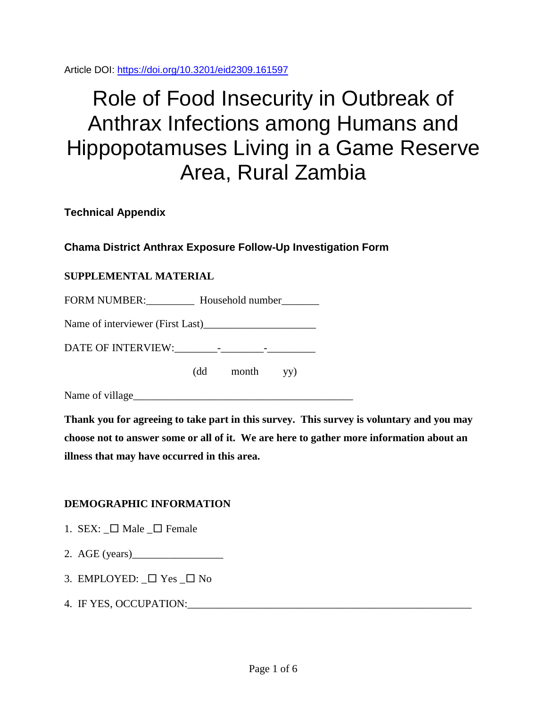Article DOI:<https://doi.org/10.3201/eid2309.161597>

# Role of Food Insecurity in Outbreak of Anthrax Infections among Humans and Hippopotamuses Living in a Game Reserve Area, Rural Zambia

**Technical Appendix**

## **Chama District Anthrax Exposure Follow-Up Investigation Form**

## **SUPPLEMENTAL MATERIAL**

FORM NUMBER: Household number

Name of interviewer (First Last)\_\_\_\_\_\_\_\_\_\_\_\_\_\_\_\_\_\_\_\_\_

DATE OF INTERVIEW:\_\_\_\_\_\_\_\_-\_\_\_\_\_\_\_\_-\_\_\_\_\_\_\_\_\_

(dd month yy)

Name of village\_\_\_\_\_\_\_\_\_\_\_\_\_\_\_\_\_\_\_\_\_\_\_\_\_\_\_\_\_\_\_\_\_\_\_\_\_\_\_\_\_

**Thank you for agreeing to take part in this survey. This survey is voluntary and you may choose not to answer some or all of it. We are here to gather more information about an illness that may have occurred in this area.**

## **DEMOGRAPHIC INFORMATION**

- 1. SEX:  $\Box$  Male  $\Box$  Female
- 2. AGE (years)

3. EMPLOYED:  $\Box$  Yes  $\Box$  No

4. IF YES, OCCUPATION:\_\_\_\_\_\_\_\_\_\_\_\_\_\_\_\_\_\_\_\_\_\_\_\_\_\_\_\_\_\_\_\_\_\_\_\_\_\_\_\_\_\_\_\_\_\_\_\_\_\_\_\_\_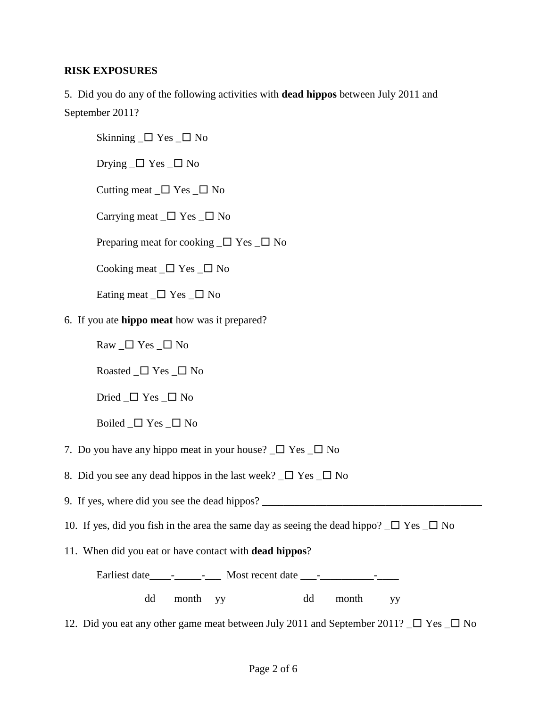### **RISK EXPOSURES**

5. Did you do any of the following activities with **dead hippos** between July 2011 and September 2011?

Skinning  $\Box$  Yes  $\Box$  No

Drying  $\Box$  Yes  $\Box$  No

Cutting meat  $\Box$  Yes  $\Box$  No

Carrying meat  $\Box$  Yes  $\Box$  No

Preparing meat for cooking  $\Box$  Yes  $\Box$  No

Cooking meat  $\Box$  Yes  $\Box$  No

Eating meat  $\Box$  Yes  $\Box$  No

#### 6. If you ate **hippo meat** how was it prepared?

Raw  $\Box$  Yes  $\Box$  No

Roasted  $\Box$  Yes  $\Box$  No

Dried  $\Box$  Yes  $\Box$  No

Boiled  $\Box$  Yes  $\Box$  No

7. Do you have any hippo meat in your house?  $\Box$  Yes  $\Box$  No

8. Did you see any dead hippos in the last week?  $\Box$  Yes  $\Box$  No

9. If yes, where did you see the dead hippos? \_\_\_\_\_\_\_\_\_\_\_\_\_\_\_\_\_\_\_\_\_\_\_\_\_\_\_\_\_\_\_\_\_\_

10. If yes, did you fish in the area the same day as seeing the dead hippo?  $\Box$  Yes  $\Box$  No

11. When did you eat or have contact with **dead hippos**?

Earliest date \_\_\_\_\_\_\_\_\_\_\_\_\_\_\_\_ Most recent date \_\_\_\_\_\_\_\_\_\_\_\_\_\_\_\_\_\_\_\_\_\_\_\_\_\_\_\_\_\_\_\_

dd month yy dd month yy

12. Did you eat any other game meat between July 2011 and September 2011?  $\Box$  Yes  $\Box$  No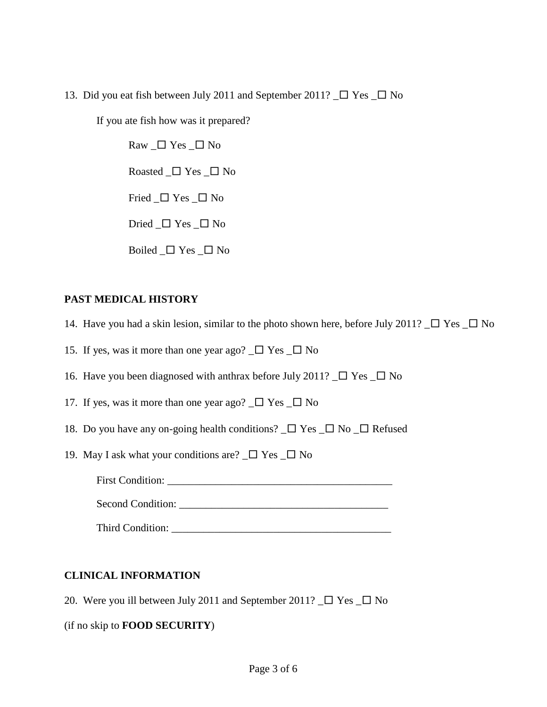13. Did you eat fish between July 2011 and September 2011?  $\Box$  Yes  $\Box$  No

If you ate fish how was it prepared?

Raw  $\Box$  Yes  $\Box$  No Roasted  $\Box$  Yes  $\Box$  No Fried  $\Box$  Yes  $\Box$  No Dried  $\Box$  Yes  $\Box$  No Boiled  $\Box$  Yes  $\Box$  No

### **PAST MEDICAL HISTORY**

- 14. Have you had a skin lesion, similar to the photo shown here, before July 2011?  $\Box$  Yes  $\Box$  No
- 15. If yes, was it more than one year ago?  $\square$  Yes  $\square$  No
- 16. Have you been diagnosed with anthrax before July 2011?  $\square$  Yes  $\square$  No
- 17. If yes, was it more than one year ago?  $\Box$  Yes  $\Box$  No
- 18. Do you have any on-going health conditions?  $\Box$  Yes  $\Box$  No  $\Box$  Refused
- 19. May I ask what your conditions are?  $\square$  Yes  $\square$  No

First Condition: \_\_\_\_\_\_\_\_\_\_\_\_\_\_\_\_\_\_\_\_\_\_\_\_\_\_\_\_\_\_\_\_\_\_\_\_\_\_\_\_\_\_

Second Condition: \_\_\_\_\_\_\_\_\_\_\_\_\_\_\_\_\_\_\_\_\_\_\_\_\_\_\_\_\_\_\_\_\_\_\_\_\_\_\_

Third Condition: \_\_\_\_\_\_\_\_\_\_\_\_\_\_\_\_\_\_\_\_\_\_\_\_\_\_\_\_\_\_\_\_\_\_\_\_\_\_\_\_\_

#### **CLINICAL INFORMATION**

20. Were you ill between July 2011 and September 2011?  $\Box$  Yes  $\Box$  No

(if no skip to **FOOD SECURITY**)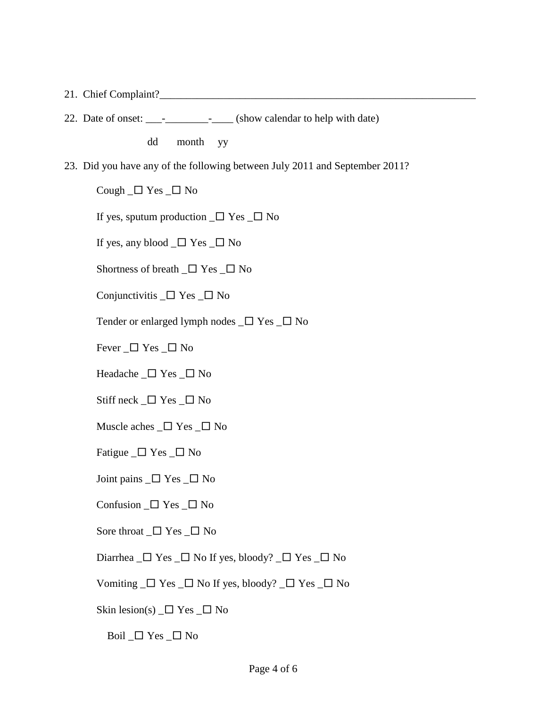- 21. Chief Complaint?
- 22. Date of onset: \_\_\_\_\_\_\_\_\_\_\_\_\_\_\_\_\_\_\_\_\_\_ (show calendar to help with date)

dd month yy

23. Did you have any of the following between July 2011 and September 2011?

Cough  $\Box$  Yes  $\Box$  No

If yes, sputum production  $\Box$  Yes  $\Box$  No

If yes, any blood  $\Box$  Yes  $\Box$  No

Shortness of breath  $\Box$  Yes  $\Box$  No

Conjunctivitis  $\Box$  Yes  $\Box$  No

Tender or enlarged lymph nodes  $\Box$  Yes  $\Box$  No

Fever  $\Box$  Yes  $\Box$  No

Headache  $\Box$  Yes  $\Box$  No

Stiff neck  $\Box$  Yes  $\Box$  No

- Muscle aches  $\Box$  Yes  $\Box$  No
- Fatigue  $\Box$  Yes  $\Box$  No
- Joint pains  $\Box$  Yes  $\Box$  No
- Confusion  $\Box$  Yes  $\Box$  No
- Sore throat  $\Box$  Yes  $\Box$  No
- Diarrhea  $\Box$  Yes  $\Box$  No If yes, bloody?  $\Box$  Yes  $\Box$  No
- Vomiting  $\Box$  Yes  $\Box$  No If yes, bloody?  $\Box$  Yes  $\Box$  No

Skin lesion(s)  $\Box$  Yes  $\Box$  No

Boil  $\Box$  Yes  $\Box$  No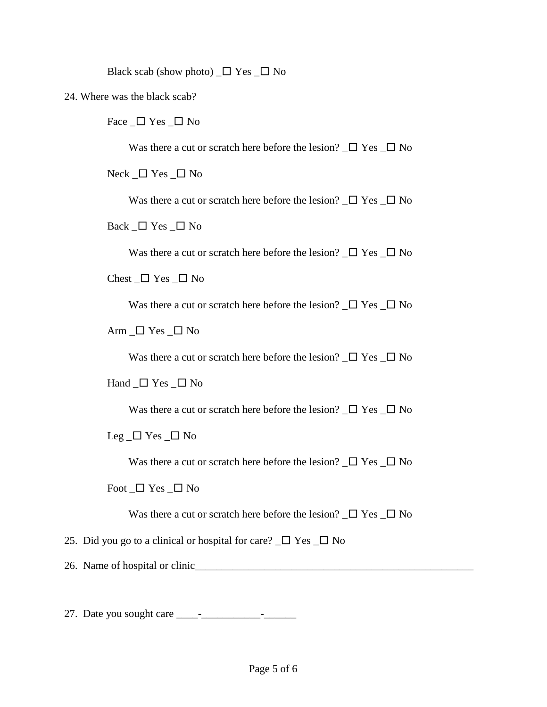Black scab (show photo)  $\Box$  Yes  $\Box$  No

24. Where was the black scab?

Face  $\Box$  Yes  $\Box$  No

Was there a cut or scratch here before the lesion?  $\Box$  Yes  $\Box$  No

 $Neck$   $\Box$  Yes  $\Box$  No

Was there a cut or scratch here before the lesion?  $\Box$  Yes  $\Box$  No

Back  $\Box$  Yes  $\Box$  No

Was there a cut or scratch here before the lesion?  $\square$  Yes  $\square$  No

Chest  $\Box$  Yes  $\Box$  No

Was there a cut or scratch here before the lesion?  $\square$  Yes  $\square$  No

Arm  $\Box$  Yes  $\Box$  No

Was there a cut or scratch here before the lesion?  $\Box$  Yes  $\Box$  No

Hand  $\Box$  Yes  $\Box$  No

Was there a cut or scratch here before the lesion?  $\Box$  Yes  $\Box$  No

Leg  $\Box$  Yes  $\Box$  No

Was there a cut or scratch here before the lesion?  $\square$  Yes  $\square$  No

Foot  $\Box$  Yes  $\Box$  No

Was there a cut or scratch here before the lesion?  $\Box$  Yes  $\Box$  No

25. Did you go to a clinical or hospital for care?  $\Box$  Yes  $\Box$  No

26. Name of hospital or clinic

27. Date you sought care \_\_\_\_-\_\_\_\_\_\_\_\_\_\_\_-\_\_\_\_\_\_